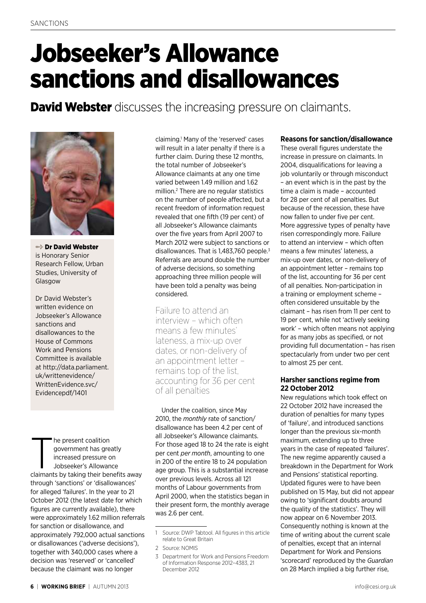# Jobseeker's Allowance sanctions and disallowances

**David Webster** discusses the increasing pressure on claimants.



**→ Dr David Webster** is Honorary Senior Research Fellow, Urban Studies, University of Glasgow

Dr David Webster's written evidence on Jobseeker's Allowance sanctions and disallowances to the House of Commons Work and Pensions Committee is available at http://data.parliament. uk/writtenevidence/ WrittenEvidence.svc/ Evidencepdf/1401

The present coalition<br>government has greatly<br>increased pressure on<br>Jobseeker's Allowance<br>claimants by taking their benefits away he present coalition government has greatly increased pressure on Jobseeker's Allowance through 'sanctions' or 'disallowances' for alleged 'failures'. In the year to 21 October 2012 (the latest date for which figures are currently available), there were approximately 1.62 million referrals for sanction or disallowance, and approximately 792,000 actual sanctions or disallowances ('adverse decisions'), together with 340,000 cases where a decision was 'reserved' or 'cancelled' because the claimant was no longer

claiming.1 Many of the 'reserved' cases will result in a later penalty if there is a further claim. During these 12 months, the total number of Jobseeker's Allowance claimants at any one time varied between 1.49 million and 1.62 million.2 There are no regular statistics on the number of people affected, but a recent freedom of information request revealed that one fifth (19 per cent) of all Jobseeker's Allowance claimants over the five years from April 2007 to March 2012 were subject to sanctions or disallowances. That is 1,483,760 people.3 Referrals are around double the number of adverse decisions, so something approaching three million people will have been told a penalty was being considered.

Failure to attend an interview – which often means a few minutes' lateness, a mix-up over dates, or non-delivery of an appointment letter – remains top of the list, accounting for 36 per cent of all penalties

Under the coalition, since May 2010, the *monthly* rate of sanction/ disallowance has been 4.2 per cent of all Jobseeker's Allowance claimants. For those aged 18 to 24 the rate is eight per cent *per month*, amounting to one in 200 of the entire 18 to 24 population age group. This is a substantial increase over previous levels. Across all 121 months of Labour governments from April 2000, when the statistics began in their present form, the monthly average was 2.6 per cent.

### **Reasons for sanction/disallowance**

These overall figures understate the increase in pressure on claimants. In 2004, disqualifications for leaving a job voluntarily or through misconduct – an event which is in the past by the time a claim is made – accounted for 28 per cent of all penalties. But because of the recession, these have now fallen to under five per cent. More aggressive types of penalty have risen correspondingly more. Failure to attend an interview – which often means a few minutes' lateness, a mix-up over dates, or non-delivery of an appointment letter – remains top of the list, accounting for 36 per cent of all penalties. Non-participation in a training or employment scheme – often considered unsuitable by the claimant – has risen from 11 per cent to 19 per cent, while not 'actively seeking work' – which often means not applying for as many jobs as specified, or not providing full documentation – has risen spectacularly from under two per cent to almost 25 per cent.

#### **Harsher sanctions regime from 22 October 2012**

New regulations which took effect on 22 October 2012 have increased the duration of penalties for many types of 'failure', and introduced sanctions longer than the previous six-month maximum, extending up to three years in the case of repeated 'failures'. The new regime apparently caused a breakdown in the Department for Work and Pensions' statistical reporting. Updated figures were to have been published on 15 May, but did not appear owing to 'significant doubts around the quality of the statistics'. They will now appear on 6 November 2013. Consequently nothing is known at the time of writing about the current scale of penalties, except that an internal Department for Work and Pensions 'scorecard' reproduced by the *Guardian* on 28 March implied a big further rise,

<sup>1</sup> Source: DWP Tabtool. All figures in this article relate to Great Britain

<sup>2</sup> Source: NOMIS

<sup>3</sup> Department for Work and Pensions Freedom of Information Response 2012–4383, 21 December 2012